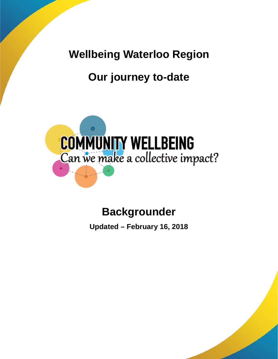**Wellbeing Waterloo Region** 

**Our journey to-date**



# **Backgrounder**

**Updated – February 16, 2018**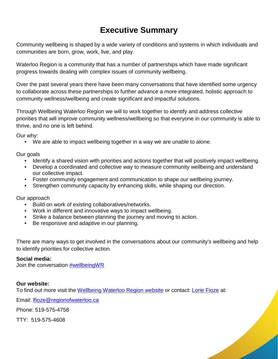# **Executive Summary**

Community wellbeing is shaped by a wide variety of conditions and systems in which individuals and communities are born, grow, work, live, and play.

Waterloo Region is a community that has a number of partnerships which have made significant progress towards dealing with complex issues of community wellbeing.

Over the past several years there have been many conversations that have identified some urgency to collaborate across these partnerships to further advance a more integrated, holistic approach to community wellness/wellbeing and create significant and impactful solutions.

Through Wellbeing Waterloo Region we will to work together to identify and address collective priorities that will improve community wellness/wellbeing so that everyone in our community is able to thrive, and no one is left behind.

Our why:

• We are able to impact wellbeing together in a way we are unable to alone.

Our goals

- Identify a shared vision with priorities and actions together that will positively impact wellbeing.
- Develop a coordinated and collective way to measure community wellbeing and understand our collective impact.
- Foster community engagement and communication to shape our wellbeing journey.
- Strengthen community capacity by enhancing skills, while shaping our direction.

Our approach

- Build on work of existing collaboratives/networks.
- Work in different and innovative ways to impact wellbeing.
- Strike a balance between planning the journey and moving to action.
- Be responsive and adaptive in our planning.

There are many ways to get involved in the conversations about our community's wellbeing and help to identify priorities for collective action.

### **Social media:**

Join the conversation [#wellbeingWR](https://twitter.com/search?src=typd&q=%23wellbeingWR)

### **Our website:**

To find out more visit the [Wellbeing Waterloo Region website](http://www.wellbeingwaterloo.ca/blog/) or contact: [Lorie Fioze](mailto:lfioze@regionofwaterloo.ca) at:

Email: [lfioze@regionofwaterloo.ca](mailto:lfioze@regionofwaterloo.ca)

Phone: 519-575-4758

TTY: 519-575-4608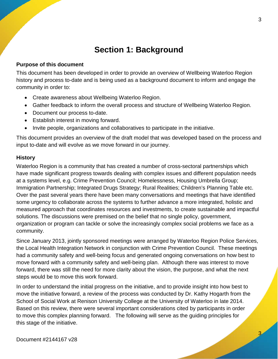# **Section 1: Background**

### **Purpose of this document**

This document has been developed in order to provide an overview of Wellbeing Waterloo Region history and process to-date and is being used as a background document to inform and engage the community in order to:

- Create awareness about Wellbeing Waterloo Region.
- Gather feedback to inform the overall process and structure of Wellbeing Waterloo Region.
- Document our process to-date.
- Establish interest in moving forward.
- Invite people, organizations and collaboratives to participate in the initiative.

This document provides an overview of the draft model that was developed based on the process and input to-date and will evolve as we move forward in our journey.

### **History**

Waterloo Region is a community that has created a number of cross-sectoral partnerships which have made significant progress towards dealing with complex issues and different population needs at a systems level, e.g. Crime Prevention Council; Homelessness, Housing Umbrella Group; Immigration Partnership; Integrated Drugs Strategy; Rural Realities; Children's Planning Table etc. Over the past several years there have been many conversations and meetings that have identified some urgency to collaborate across the systems to further advance a more integrated, holistic and measured approach that coordinates resources and investments, to create sustainable and impactful solutions. The discussions were premised on the belief that no single policy, government, organization or program can tackle or solve the increasingly complex social problems we face as a community.

Since January 2013, jointly sponsored meetings were arranged by Waterloo Region Police Services, the Local Health Integration Network in conjunction with Crime Prevention Council. These meetings had a community safety and well-being focus and generated ongoing conversations on how best to move forward with a community safety and well-being plan. Although there was interest to move forward, there was still the need for more clarity about the vision, the purpose, and what the next steps would be to move this work forward.

In order to understand the initial progress on the initiative, and to provide insight into how best to move the initiative forward, a review of the process was conducted by Dr. Kathy Hogarth from the School of Social Work at Renison University College at the University of Waterloo in late 2014. Based on this review, there were several important considerations cited by participants in order to move this complex planning forward. The following will serve as the guiding principles for this stage of the initiative.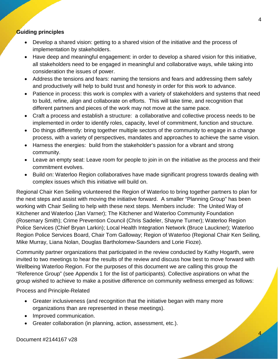### **Guiding principles**

- Develop a shared vision: getting to a shared vision of the initiative and the process of implementation by stakeholders.
- Have deep and meaningful engagement: in order to develop a shared vision for this initiative, all stakeholders need to be engaged in meaningful and collaborative ways, while taking into consideration the issues of power.
- Address the tensions and fears: naming the tensions and fears and addressing them safely and productively will help to build trust and honesty in order for this work to advance.
- Patience in process: this work is complex with a variety of stakeholders and systems that need to build, refine, align and collaborate on efforts. This will take time, and recognition that different partners and pieces of the work may not move at the same pace.
- Craft a process and establish a structure: a collaborative and collective process needs to be implemented in order to identify roles, capacity, level of commitment, function and structure.
- Do things differently: bring together multiple sectors of the community to engage in a change process, with a variety of perspectives, mandates and approaches to achieve the same vision.
- Harness the energies: build from the stakeholder's passion for a vibrant and strong community.
- Leave an empty seat: Leave room for people to join in on the initiative as the process and their commitment evolves.
- Build on: Waterloo Region collaboratives have made significant progress towards dealing with complex issues which this initiative will build on.

Regional Chair Ken Seiling volunteered the Region of Waterloo to bring together partners to plan for the next steps and assist with moving the initiative forward. A smaller "Planning Group" has been working with Chair Seiling to help with these next steps. Members include: The United Way of Kitchener and Waterloo (Jan Varner); The Kitchener and Waterloo Community Foundation (Rosemary Smith); Crime Prevention Council (Chris Sadeler, Shayne Turner); Waterloo Region Police Services (Chief Bryan Larkin); Local Health Integration Network (Bruce Lauckner); Waterloo Region Police Services Board, Chair Tom Galloway; Region of Waterloo (Regional Chair Ken Seiling, Mike Murray, Liana Nolan, Douglas Bartholomew-Saunders and Lorie Fioze).

Community partner organizations that participated in the review conducted by Kathy Hogarth, were invited to two meetings to hear the results of the review and discuss how best to move forward with Wellbeing Waterloo Region. For the purposes of this document we are calling this group the "Reference Group" (see Appendix 1 for the list of participants). Collective aspirations on what the group wished to achieve to make a positive difference on community wellness emerged as follows:

Process and Principle-Related

- Greater inclusiveness (and recognition that the initiative began with many more organizations than are represented in these meetings).
- Improved communication.
- Greater collaboration (in planning, action, assessment, etc.).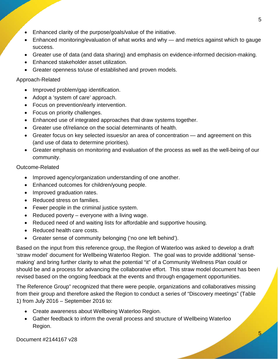- Enhanced clarity of the purpose/goals/value of the initiative.
- Enhanced monitoring/evaluation of what works and why and metrics against which to gauge success.
- Greater use of data (and data sharing) and emphasis on evidence-informed decision-making.
- Enhanced stakeholder asset utilization.
- Greater openness to/use of established and proven models.

### Approach-Related

- Improved problem/gap identification.
- Adopt a 'system of care' approach.
- Focus on prevention/early intervention.
- Focus on priority challenges.
- Enhanced use of integrated approaches that draw systems together.
- Greater use of/reliance on the social determinants of health.
- Greater focus on key selected issues/or an area of concentration and agreement on this (and use of data to determine priorities).
- Greater emphasis on monitoring and evaluation of the process as well as the well-being of our community.

### Outcome-Related

- Improved agency/organization understanding of one another.
- Enhanced outcomes for children/young people.
- Improved graduation rates.
- Reduced stress on families.
- Fewer people in the criminal justice system.
- Reduced poverty everyone with a living wage.
- Reduced need of and waiting lists for affordable and supportive housing.
- Reduced health care costs.
- Greater sense of community belonging ('no one left behind').

Based on the input from this reference group, the Region of Waterloo was asked to develop a draft 'straw model' document for Wellbeing Waterloo Region. The goal was to provide additional 'sensemaking' and bring further clarity to what the potential "it" of a Community Wellness Plan could or should be and a process for advancing the collaborative effort. This straw model document has been revised based on the ongoing feedback at the events and through engagement opportunities.

The Reference Group" recognized that there were people, organizations and collaboratives missing from their group and therefore asked the Region to conduct a series of "Discovery meetings" (Table 1) from July 2016 – September 2016 to:

- Create awareness about Wellbeing Waterloo Region.
- Gather feedback to inform the overall process and structure of Wellbeing Waterloo Region.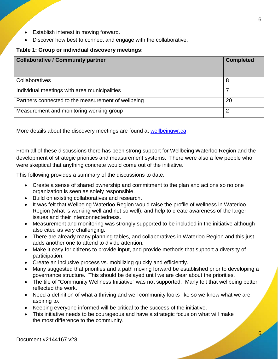- Establish interest in moving forward.
- Discover how best to connect and engage with the collaborative.

### **Table 1: Group or individual discovery meetings:**

| <b>Collaborative / Community partner</b>           | <b>Completed</b> |
|----------------------------------------------------|------------------|
| Collaboratives                                     | 8                |
| Individual meetings with area municipalities       |                  |
| Partners connected to the measurement of wellbeing | 20               |
| Measurement and monitoring working group           | 2                |

More details about the discovery meetings are found at [wellbeingwr.ca.](http://www.wellbeingwr.ca/)

From all of these discussions there has been strong support for Wellbeing Waterloo Region and the development of strategic priorities and measurement systems. There were also a few people who were skeptical that anything concrete would come out of the initiative.

This following provides a summary of the discussions to date.

- Create a sense of shared ownership and commitment to the plan and actions so no one organization is seen as solely responsible.
- Build on existing collaboratives and research**.**
- It was felt that Wellbeing Waterloo Region would raise the profile of wellness in Waterloo Region (what is working well and not so well), and help to create awareness of the larger issues and their interconnectedness.
- Measurement and monitoring was strongly supported to be included in the initiative although also cited as very challenging.
- There are already many planning tables, and collaboratives in Waterloo Region and this just adds another one to attend to divide attention.
- Make it easy for citizens to provide input, and provide methods that support a diversity of participation.
- Create an inclusive process vs. mobilizing quickly and efficiently.
- Many suggested that priorities and a path moving forward be established prior to developing a governance structure. This should be delayed until we are clear about the priorities.
- The tile of "Community Wellness Initiative" was not supported. Many felt that wellbeing better reflected the work.
- Need a definition of what a thriving and well community looks like so we know what we are aspiring to.
- Keeping everyone informed will be critical to the success of the initiative.
- This initiative needs to be courageous and have a strategic focus on what will make the most difference to the community.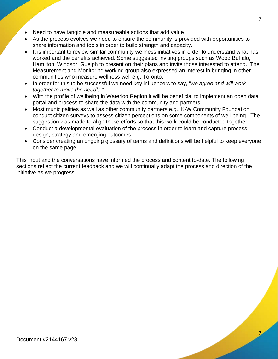- Need to have tangible and measureable actions that add value
- As the process evolves we need to ensure the community is provided with opportunities to share information and tools in order to build strength and capacity.
- It is important to review similar community wellness initiatives in order to understand what has worked and the benefits achieved. Some suggested inviting groups such as Wood Buffalo, Hamilton, Windsor, Guelph to present on their plans and invite those interested to attend. The Measurement and Monitoring working group also expressed an interest in bringing in other communities who measure wellness well e.g. Toronto.
- In order for this to be successful we need key influencers to say, "*we agree and will work together to move the needle*."
- With the profile of wellbeing in Waterloo Region it will be beneficial to implement an open data portal and process to share the data with the community and partners.
- Most municipalities as well as other community partners e.g., K-W Community Foundation, conduct citizen surveys to assess citizen perceptions on some components of well-being. The suggestion was made to align these efforts so that this work could be conducted together.
- Conduct a developmental evaluation of the process in order to learn and capture process, design, strategy and emerging outcomes.
- Consider creating an ongoing glossary of terms and definitions will be helpful to keep everyone on the same page.

This input and the conversations have informed the process and content to-date. The following sections reflect the current feedback and we will continually adapt the process and direction of the initiative as we progress.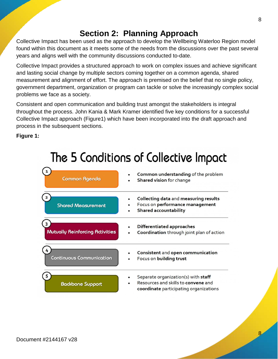# **Section 2: Planning Approach**

Collective Impact has been used as the approach to develop the Wellbeing Waterloo Region model found within this document as it meets some of the needs from the discussions over the past several years and aligns well with the community discussions conducted to-date.

Collective Impact provides a structured approach to work on complex issues and achieve significant and lasting social change by multiple sectors coming together on a common agenda, shared measurement and alignment of effort. The approach is premised on the belief that no single policy, government department, organization or program can tackle or solve the increasingly complex social problems we face as a society.

Consistent and open communication and building trust amongst the stakeholders is integral throughout the process. John Kania & Mark Kramer identified five key conditions for a successful Collective Impact approach (Figure1) which have been incorporated into the draft approach and process in the subsequent sections.

### **Figure 1:**

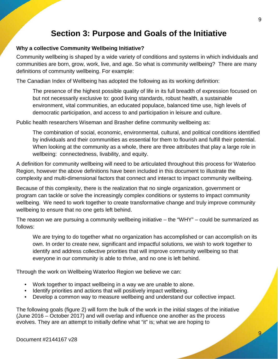# **Section 3: Purpose and Goals of the Initiative**

### **Why a collective Community Wellbeing Initiative?**

Community wellbeing is shaped by a wide variety of conditions and systems in which individuals and communities are born, grow, work, live, and age. So what is community wellbeing? There are many definitions of community wellbeing. For example:

The Canadian Index of Wellbeing has adopted the following as its working definition:

The presence of the highest possible quality of life in its full breadth of expression focused on but not necessarily exclusive to: good living standards, robust health, a sustainable environment, vital communities, an educated populace, balanced time use, high levels of democratic participation, and access to and participation in leisure and culture.

Public health researchers Wiseman and Brasher define community wellbeing as:

The combination of social, economic, environmental, cultural, and political conditions identified by individuals and their communities as essential for them to flourish and fulfill their potential. When looking at the community as a whole, there are three attributes that play a large role in wellbeing: connectedness, livability, and equity.

A definition for community wellbeing will need to be articulated throughout this process for Waterloo Region, however the above definitions have been included in this document to illustrate the complexity and multi-dimensional factors that connect and interact to impact community wellbeing.

Because of this complexity, there is the realization that no single organization, government or program can tackle or solve the increasingly complex conditions or systems to impact community wellbeing. We need to work together to create transformative change and truly improve community wellbeing to ensure that no one gets left behind.

The reason we are pursuing a community wellbeing initiative – the "WHY" – could be summarized as follows:

We are trying to do together what no organization has accomplished or can accomplish on its own. In order to create new, significant and impactful solutions, we wish to work together to identify and address collective priorities that will improve community wellbeing so that everyone in our community is able to thrive, and no one is left behind.

Through the work on Wellbeing Waterloo Region we believe we can:

- Work together to impact wellbeing in a way we are unable to alone.
- Identify priorities and actions that will positively impact wellbeing.
- Develop a common way to measure wellbeing and understand our collective impact.

The following goals (figure 2) will form the bulk of the work in the initial stages of the initiative (June 2016 – October 2017) and will overlap and influence one another as the process evolves. They are an attempt to initially define what "it" is; what we are hoping to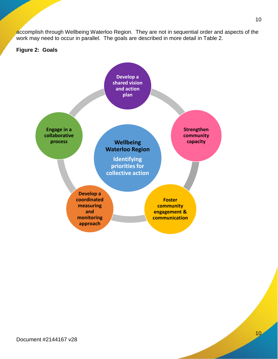accomplish through Wellbeing Waterloo Region. They are not in sequential order and aspects of the work may need to occur in parallel. The goals are described in more detail in Table 2.



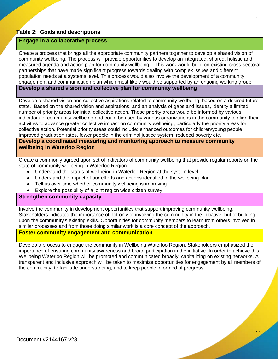### **Table 2: Goals and descriptions**

#### **Engage in a collaborative process**

Create a process that brings all the appropriate community partners together to develop a shared vision of community wellbeing. The process will provide opportunities to develop an integrated, shared, holistic and measured agenda and action plan for community wellbeing. This work would build on existing cross-sectoral partnerships that have made significant progress towards dealing with complex issues and different population needs at a systems level. This process would also involve the development of a community engagement and communication plan which most likely would be supported by an ongoing working group.

### **Develop a shared vision and collective plan for community wellbeing**

Develop a shared vision and collective aspirations related to community wellbeing, based on a desired future state. Based on the shared vision and aspirations, and an analysis of gaps and issues, identity a limited number of priority areas for initial collective action. These priority areas would be informed by various indicators of community wellbeing and could be used by various organizations in the community to align their activities to advance greater collective impact on community wellbeing, particularly the priority areas for collective action. Potential priority areas could include: enhanced outcomes for children/young people, improved graduation rates, fewer people in the criminal justice system, reduced poverty etc.

#### **Develop a coordinated measuring and monitoring approach to measure community wellbeing in Waterloo Region**

Create a commonly agreed upon set of indicators of community wellbeing that provide regular reports on the state of community wellbeing in Waterloo Region.

- Understand the status of wellbeing in Waterloo Region at the system level
- Understand the impact of our efforts and actions identified in the wellbeing plan
- Tell us over time whether community wellbeing is improving
- Explore the possibility of a joint region wide citizen survey

#### **Strengthen community capacity**

Involve the community in development opportunities that support improving community wellbeing. Stakeholders indicated the importance of not only of involving the community in the initiative, but of building upon the community's existing skills. Opportunities for community members to learn from others involved in similar processes and from those doing similar work is a core concept of the approach.

#### **Foster community engagement and communication**

Develop a process to engage the community in Wellbeing Waterloo Region. Stakeholders emphasized the importance of ensuring community awareness and broad participation in the initiative. In order to achieve this, Wellbeing Waterloo Region will be promoted and communicated broadly, capitalizing on existing networks. A transparent and inclusive approach will be taken to maximize opportunities for engagement by all members of the community, to facilitate understanding, and to keep people informed of progress.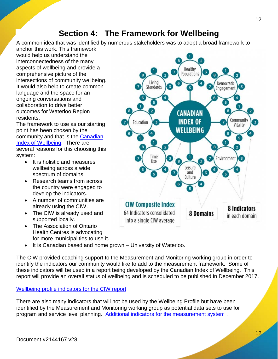# **Section 4: The Framework for Wellbeing**

A common idea that was identified by numerous stakeholders was to adopt a broad framework to

anchor this work. This framework would help us understand the interconnectedness of the many aspects of wellbeing and provide a comprehensive picture of the intersections of community wellbeing. It would also help to create common language and the space for an ongoing conversations and collaboration to drive better outcomes for Waterloo Region residents.

The framework to use as our starting point has been chosen by the community and that is the [Canadian](https://uwaterloo.ca/canadian-index-wellbeing/)  [Index of Wellbeing.](https://uwaterloo.ca/canadian-index-wellbeing/) There are several reasons for this choosing this system:

- It is holistic and measures wellbeing across a wide spectrum of domains.
- Research teams from across the country were engaged to develop the indicators.
- A number of communities are already using the CIW.
- The CIW is already used and supported locally.
- The Association of Ontario Health Centres is advocating for more municipalities to use it.



It is Canadian based and home grown – University of Waterloo.

The CIW provided coaching support to the Measurement and Monitoring working group in order to identify the indicators our community would like to add to the measurement framework. Some of these indicators will be used in a report being developed by the Canadian Index of Wellbeing. This report will provide an overall status of wellbeing and is scheduled to be published in December 2017.

### [Wellbeing profile indicators for the CIW report](http://www.wellbeingwaterloo.ca/blog/wp-content/uploads/2016/08/CIW_domains_and_indicators_-__for_Profile_report_by_CIW.pdf)

There are also many indicators that will not be used by the Wellbeing Profile but have been identified by the Measurement and Monitoring working group as potential data sets to use for program and service level planning. [Additional indicators for the measurement system .](http://www.wellbeingwaterloo.ca/blog/wp-content/uploads/2016/08/Other-Potential_indicators_for_Wellbeing_Waterloo_Region_-_not_included_in_profile_report.pdf)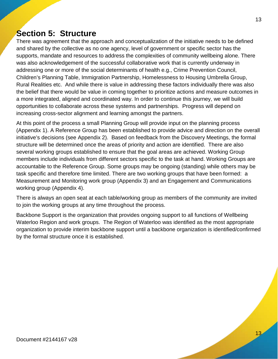# **Section 5: Structure**

There was agreement that the approach and conceptualization of the initiative needs to be defined and shared by the collective as no one agency, level of government or specific sector has the supports, mandate and resources to address the complexities of community wellbeing alone. There was also acknowledgement of the successful collaborative work that is currently underway in addressing one or more of the social determinants of health e.g., Crime Prevention Council, Children's Planning Table, Immigration Partnership, Homelessness to Housing Umbrella Group, Rural Realities etc. And while there is value in addressing these factors individually there was also the belief that there would be value in coming together to prioritize actions and measure outcomes in a more integrated, aligned and coordinated way. In order to continue this journey, we will build opportunities to collaborate across these systems and partnerships. Progress will depend on increasing cross-sector alignment and learning amongst the partners.

At this point of the process a small Planning Group will provide input on the planning process (Appendix 1). A Reference Group has been established to provide advice and direction on the overall initiative's decisions (see Appendix 2). Based on feedback from the Discovery Meetings, the formal structure will be determined once the areas of priority and action are identified. There are also several working groups established to ensure that the goal areas are achieved. Working Group members include individuals from different sectors specific to the task at hand. Working Groups are accountable to the Reference Group. Some groups may be ongoing (standing) while others may be task specific and therefore time limited. There are two working groups that have been formed: a Measurement and Monitoring work group (Appendix 3) and an Engagement and Communications working group (Appendix 4).

There is always an open seat at each table/working group as members of the community are invited to join the working groups at any time throughout the process.

Backbone Support is the organization that provides ongoing support to all functions of Wellbeing Waterloo Region and work groups. The Region of Waterloo was identified as the most appropriate organization to provide interim backbone support until a backbone organization is identified/confirmed by the formal structure once it is established.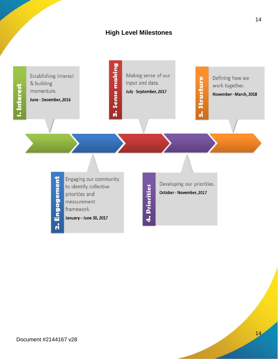### **High Level Milestones**

1. Interest

Establishing interest & building momentum.

June - December, 2016

Making sense of our input and data. July - September, 2017

4. Priorities

3. Sense making

Defining how we work together. November - March, 2018

Engaging our community Engagement to identify collective priorities and measurement framework. January-June 30, 2017 N.

Developing our priorities. October - November, 2017

5. Structure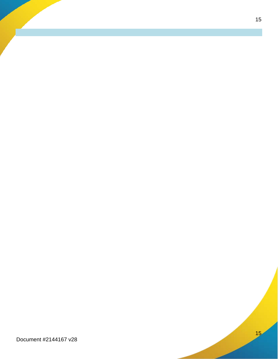Document #2144167 v28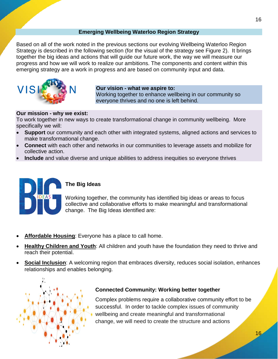### **Emerging Wellbeing Waterloo Region Strategy**

Based on all of the work noted in the previous sections our evolving Wellbeing Waterloo Region Strategy is described in the following section (for the visual of the strategy see Figure 2). It brings together the big ideas and actions that will guide our future work, the way we will measure our progress and how we will work to realize our ambitions. The components and content within this emerging strategy are a work in progress and are based on community input and data.



### **Our vision - what we aspire to:**

Working together to enhance wellbeing in our community so everyone thrives and no one is left behind.

### **Our mission - why we exist:**

To work together in new ways to create transformational change in community wellbeing. More specifically we will:

- **Support** our community and each other with integrated systems, aligned actions and services to make transformational change.
- **Connect** with each other and networks in our communities to leverage assets and mobilize for collective action.
- **Include** and value diverse and unique abilities to address inequities so everyone thrives



### **The Big Ideas**

Working together, the community has identified big ideas or areas to focus collective and collaborative efforts to make meaningful and transformational change. The Big Ideas identified are:

- **Affordable Housing**: Everyone has a place to call home.
- **Healthy Children and Youth:** All children and youth have the foundation they need to thrive and reach their potential.
- **Social Inclusion**: A welcoming region that embraces diversity, reduces social isolation, enhances relationships and enables belonging.



### **Connected Community: Working better together**

Complex problems require a collaborative community effort to be successful. In order to tackle complex issues of community wellbeing and create meaningful and transformational change, we will need to create the structure and actions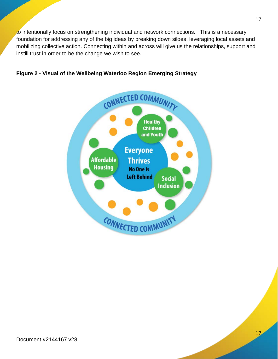to intentionally focus on strengthening individual and network connections. This is a necessary foundation for addressing any of the big ideas by breaking down siloes, leveraging local assets and mobilizing collective action. Connecting within and across will give us the relationships, support and instill trust in order to be the change we wish to see.



### **Figure 2 - Visual of the Wellbeing Waterloo Region Emerging Strategy**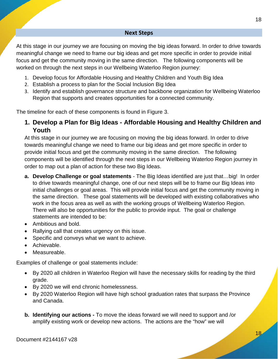#### **Next Steps**

At this stage in our journey we are focusing on moving the big ideas forward. In order to drive towards meaningful change we need to frame our big ideas and get more specific in order to provide initial focus and get the community moving in the same direction. The following components will be worked on through the next steps in our Wellbeing Waterloo Region journey:

- 1. Develop focus for Affordable Housing and Healthy Children and Youth Big Idea
- 2. Establish a process to plan for the Social Inclusion Big Idea
- 3. Identify and establish governance structure and backbone organization for Wellbeing Waterloo Region that supports and creates opportunities for a connected community.

The timeline for each of these components is found in Figure 3.

### **1. Develop a Plan for Big Ideas - Affordable Housing and Healthy Children and Youth**

At this stage in our journey we are focusing on moving the big ideas forward. In order to drive towards meaningful change we need to frame our big ideas and get more specific in order to provide initial focus and get the community moving in the same direction. The following components will be identified through the next steps in our Wellbeing Waterloo Region journey in order to map out a plan of action for these two Big Ideas.

- **a. Develop Challenge or goal statements** The Big Ideas identified are just that…big! In order to drive towards meaningful change, one of our next steps will be to frame our Big Ideas into initial challenges or goal areas. This will provide initial focus and get the community moving in the same direction. These goal statements will be developed with existing collaboratives who work in the focus area as well as with the working groups of Wellbeing Waterloo Region. There will also be opportunities for the public to provide input. The goal or challenge statements are intended to be:
- Ambitious and bold.
- Rallying call that creates urgency on this issue.
- Specific and conveys what we want to achieve.
- Achievable.
- Measureable.

Examples of challenge or goal statements include:

- By 2020 all children in Waterloo Region will have the necessary skills for reading by the third grade.
- By 2020 we will end chronic homelessness.
- By 2020 Waterloo Region will have high school graduation rates that surpass the Province and Canada.
- **b. Identifying our actions -** To move the ideas forward we will need to support and /or amplify existing work or develop new actions. The actions are the "how" we will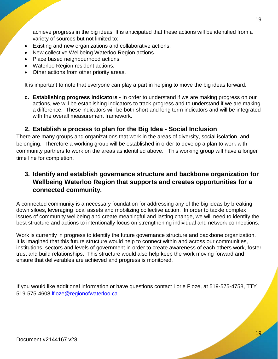achieve progress in the big ideas. It is anticipated that these actions will be identified from a variety of sources but not limited to:

- Existing and new organizations and collaborative actions.
- New collective Wellbeing Waterloo Region actions.
- Place based neighbourhood actions.
- Waterloo Region resident actions.
- Other actions from other priority areas.

It is important to note that everyone can play a part in helping to move the big ideas forward.

**c. Establishing progress indicators -** In order to understand if we are making progress on our actions, we will be establishing indicators to track progress and to understand if we are making a difference. These indicators will be both short and long term indicators and will be integrated with the overall measurement framework.

### **2. Establish a process to plan for the Big Idea - Social Inclusion**

There are many groups and organizations that work in the areas of diversity, social isolation, and belonging. Therefore a working group will be established in order to develop a plan to work with community partners to work on the areas as identified above. This working group will have a longer time line for completion.

### **3. Identify and establish governance structure and backbone organization for Wellbeing Waterloo Region that supports and creates opportunities for a connected community.**

A connected community is a necessary foundation for addressing any of the big ideas by breaking down siloes, leveraging local assets and mobilizing collective action. In order to tackle complex issues of community wellbeing and create meaningful and lasting change, we will need to identify the best structure and actions to intentionally focus on strengthening individual and network connections.

Work is currently in progress to identify the future governance structure and backbone organization. It is imagined that this future structure would help to connect within and across our communities, institutions, sectors and levels of government in order to create awareness of each others work, foster trust and build relationships. This structure would also help keep the work moving forward and ensure that deliverables are achieved and progress is monitored.

If you would like additional information or have questions contact Lorie Fioze, at 519-575-4758, TTY 519-575-4608 [lfioze@regionofwaterloo.ca.](mailto:lfioze@regionofwaterloo.ca)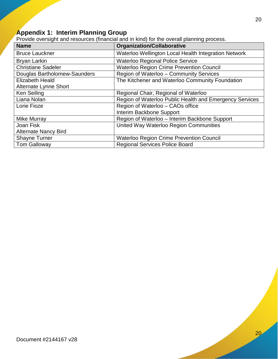### **Appendix 1: Interim Planning Group**

Provide oversight and resources (financial and in kind) for the overall planning process.

| <b>Name</b>                  | <b>Organization/Collaborative</b>                       |
|------------------------------|---------------------------------------------------------|
| <b>Bruce Lauckner</b>        | Waterloo Wellington Local Health Integration Network    |
| Bryan Larkin                 | <b>Waterloo Regional Police Service</b>                 |
| <b>Christiane Sadeler</b>    | <b>Waterloo Region Crime Prevention Council</b>         |
| Douglas Bartholomew-Saunders | Region of Waterloo - Community Services                 |
| <b>Elizabeth Heald</b>       | The Kitchener and Waterloo Community Foundation         |
| Alternate Lynne Short        |                                                         |
| <b>Ken Seiling</b>           | Regional Chair, Regional of Waterloo                    |
| Liana Nolan                  | Region of Waterloo Public Health and Emergency Services |
| Lorie Fioze                  | Region of Waterloo - CAOs office                        |
|                              | Interim Backbone Support                                |
| <b>Mike Murray</b>           | Region of Waterloo - Interim Backbone Support           |
| Joan Fisk                    | United Way Waterloo Region Communities                  |
| <b>Alternate Nancy Bird</b>  |                                                         |
| <b>Shayne Turner</b>         | <b>Waterloo Region Crime Prevention Council</b>         |
| <b>Tom Galloway</b>          | <b>Regional Services Police Board</b>                   |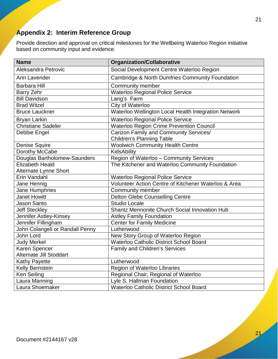## **Appendix 2: Interim Reference Group**

Provide direction and approval on critical milestones for the Wellbeing Waterloo Region initiative based on community input and evidence.

| <b>Name</b>                     | <b>Organization/Collaborative</b>                    |
|---------------------------------|------------------------------------------------------|
| Aleksandra Petrovic             | Social Development Centre Waterloo Region            |
| Ann Lavender                    | Cambridge & North Dumfries Community Foundation      |
| <b>Barbara Hill</b>             | Community member                                     |
| <b>Barry Zehr</b>               | <b>Waterloo Regional Police Service</b>              |
| <b>Bill Davidson</b>            | Lang's Farm                                          |
| <b>Brad Witzel</b>              | City of Waterloo                                     |
| <b>Bruce Lauckner</b>           | Waterloo Wellington Local Health Integration Network |
| <b>Bryan Larkin</b>             | Waterloo Regional Police Service                     |
| <b>Christiane Sadeler</b>       | <b>Waterloo Region Crime Prevention Council</b>      |
| Debbie Engel                    | Carizon Family and Community Services/               |
|                                 | <b>Children's Planning Table</b>                     |
| <b>Denise Squire</b>            | <b>Woolwich Community Health Centre</b>              |
| Dorothy McCabe                  | KidsAbility                                          |
| Douglas Bartholomew-Saunders    | Region of Waterloo - Community Services              |
| <b>Elizabeth Heald</b>          | The Kitchener and Waterloo Community Foundation      |
| Alternate Lynne Short           |                                                      |
| Erin Vandahl                    | <b>Waterloo Regional Police Service</b>              |
| Jane Hennig                     | Volunteer Action Centre of Kitchener Waterloo & Area |
| Jane Humphries                  | Community member                                     |
| <b>Janet Howitt</b>             | <b>Delton Glebe Counselling Centre</b>               |
| Jason Santo                     | <b>Studio Locale</b>                                 |
| <b>Jeff Steckley</b>            | Shantz Mennonite Church Social Innovation Hub        |
| Jennifer Astley-Kinsey          | <b>Astley Family Foundation</b>                      |
| Jennifer Fillingham             | <b>Center for Family Medicine</b>                    |
| John Colangeli or Randall Penny | Lutherwood                                           |
| John Lord                       | New Story Group of Waterloo Region                   |
| <b>Judy Merkel</b>              | <b>Waterloo Catholic District School Board</b>       |
| Karen Spencer                   | Family and Children's Services                       |
| Alternate Jill Stoddart         |                                                      |
| <b>Kathy Payette</b>            | Lutherwood                                           |
| Kelly Bernstein                 | Region of Waterloo Libraries                         |
| Ken Seiling                     | Regional Chair, Regional of Waterloo                 |
| Laura Manning                   | Lyle S. Hallman Foundation                           |
| Laura Shoemaker                 | Waterloo Catholic District School Board              |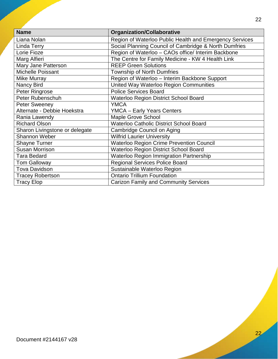| <b>Name</b>                    | <b>Organization/Collaborative</b>                       |
|--------------------------------|---------------------------------------------------------|
| Liana Nolan                    | Region of Waterloo Public Health and Emergency Services |
| <b>Linda Terry</b>             | Social Planning Council of Cambridge & North Dumfries   |
| Lorie Fioze                    | Region of Waterloo - CAOs office/ Interim Backbone      |
| Marg Alfieri                   | The Centre for Family Medicine - KW 4 Health Link       |
| Mary Jane Patterson            | <b>REEP Green Solutions</b>                             |
| <b>Michelle Poissant</b>       | Township of North Dumfries                              |
| Mike Murray                    | Region of Waterloo - Interim Backbone Support           |
| Nancy Bird                     | United Way Waterloo Region Communities                  |
| Peter Ringrose                 | <b>Police Services Board</b>                            |
| Peter Rubenschuh               | <b>Waterloo Region District School Board</b>            |
| <b>Peter Sweeney</b>           | <b>YMCA</b>                                             |
| Alternate - Debbie Hoekstra    | <b>YMCA - Early Years Centers</b>                       |
| Rania Lawendy                  | Maple Grove School                                      |
| <b>Richard Olson</b>           | <b>Waterloo Catholic District School Board</b>          |
| Sharon Livingstone or delegate | Cambridge Council on Aging                              |
| <b>Shannon Weber</b>           | <b>Wilfrid Laurier University</b>                       |
| <b>Shayne Turner</b>           | <b>Waterloo Region Crime Prevention Council</b>         |
| <b>Susan Morrison</b>          | Waterloo Region District School Board                   |
| <b>Tara Bedard</b>             | <b>Waterloo Region Immigration Partnership</b>          |
| <b>Tom Galloway</b>            | <b>Regional Services Police Board</b>                   |
| <b>Tova Davidson</b>           | Sustainable Waterloo Region                             |
| <b>Tracey Robertson</b>        | <b>Ontario Trillium Foundation</b>                      |
| <b>Tracy Elop</b>              | <b>Carizon Family and Community Services</b>            |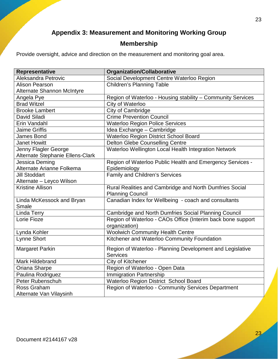# **Appendix 3: Measurement and Monitoring Working Group**

# **Membership**

Provide oversight, advice and direction on the measurement and monitoring goal area.

| <b>Representative</b>            | <b>Organization/Collaborative</b>                           |
|----------------------------------|-------------------------------------------------------------|
| Aleksandra Petrovic              | Social Development Centre Waterloo Region                   |
| <b>Alison Pearson</b>            | <b>Children's Planning Table</b>                            |
| Alternate Shannon McIntyre       |                                                             |
| Angela Pye                       | Region of Waterloo - Housing stability - Community Services |
| <b>Brad Witzel</b>               | City of Waterloo                                            |
| <b>Brooke Lambert</b>            | City of Cambridge                                           |
| David Siladi                     | <b>Crime Prevention Council</b>                             |
| Erin Vandahl                     | <b>Waterloo Region Police Services</b>                      |
| Jaime Griffis                    | Idea Exchange - Cambridge                                   |
| James Bond                       | Waterloo Region District School Board                       |
| <b>Janet Howitt</b>              | <b>Delton Glebe Counselling Centre</b>                      |
| Jenny Flagler George             | Waterloo Wellington Local Health Integration Network        |
| Alternate Stephanie Ellens-Clark |                                                             |
| Jessica Deming                   | Region of Waterloo Public Health and Emergency Services -   |
| Alternate Arianne Folkema        | Epidemiology                                                |
| <b>Jill Stoddart</b>             | <b>Family and Children's Services</b>                       |
| Alternate - Leyco Wilson         |                                                             |
| <b>Kristine Allison</b>          | Rural Realities and Cambridge and North Dumfries Social     |
|                                  | <b>Planning Council</b>                                     |
| Linda McKessock and Bryan        | Canadian Index for Wellbeing - coach and consultants        |
| Smale                            |                                                             |
| Linda Terry                      | Cambridge and North Dumfries Social Planning Council        |
| Lorie Fioze                      | Region of Waterloo - CAOs Office (Interim back bone support |
|                                  | organization)                                               |
| Lynda Kohler                     | <b>Woolwich Community Health Centre</b>                     |
| <b>Lynne Short</b>               | Kitchener and Waterloo Community Foundation                 |
| <b>Margaret Parkin</b>           | Region of Waterloo - Planning Development and Legislative   |
|                                  | <b>Services</b>                                             |
| <b>Mark Hildebrand</b>           | City of Kitchener                                           |
| Oriana Sharpe                    | Region of Waterloo - Open Data                              |
| Paulina Rodriguez                | <b>Immigration Partnership</b>                              |
| Peter Rubenschuh                 | Waterloo Region District School Board                       |
| Ross Graham                      | Region of Waterloo - Community Services Department          |
| Alternate Van Vilaysinh          |                                                             |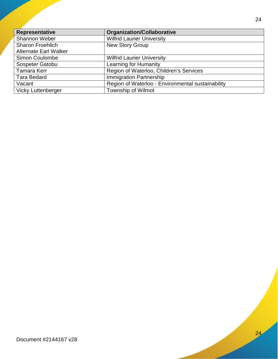| <b>Representative</b>        | <b>Organization/Collaborative</b>                 |
|------------------------------|---------------------------------------------------|
| Shannon Weber                | <b>Wilfrid Laurier University</b>                 |
| <b>Sharon Froehlich</b>      | <b>New Story Group</b>                            |
| <b>Alternate Earl Walker</b> |                                                   |
| <b>Simon Coulombe</b>        | <b>Wilfrid Laurier University</b>                 |
| Sospeter Gatobu              | Learning for Humanity                             |
| <b>Tamara Kerr</b>           | Region of Waterloo, Children's Services           |
| <b>Tara Bedard</b>           | <b>Immigration Partnership</b>                    |
| Vacant                       | Region of Waterloo - Environmental sustainability |
| <b>Vicky Luttenberger</b>    | <b>Township of Wilmot</b>                         |